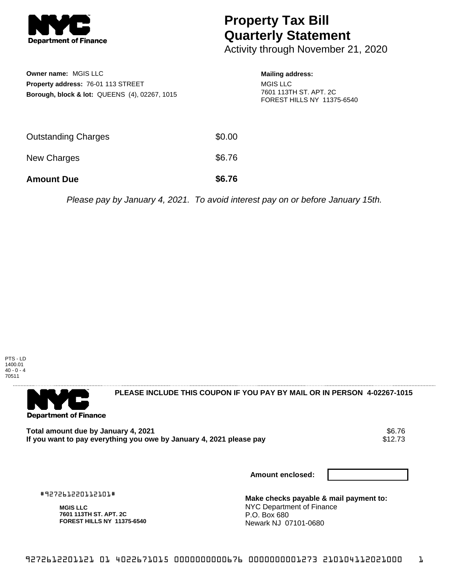

## **Property Tax Bill Quarterly Statement**

Activity through November 21, 2020

| <b>Owner name: MGIS LLC</b><br>Property address: 76-01 113 STREET<br>Borough, block & lot: QUEENS (4), 02267, 1015 |        | <b>Mailing address:</b><br><b>MGIS LLC</b><br>7601 113TH ST. APT. 2C<br>FOREST HILLS NY 11375-6540 |
|--------------------------------------------------------------------------------------------------------------------|--------|----------------------------------------------------------------------------------------------------|
| Outstanding Charges                                                                                                | \$0.00 |                                                                                                    |
| <b>New Charges</b>                                                                                                 | \$6.76 |                                                                                                    |
| <b>Amount Due</b>                                                                                                  | \$6.76 |                                                                                                    |

Please pay by January 4, 2021. To avoid interest pay on or before January 15th.





**PLEASE INCLUDE THIS COUPON IF YOU PAY BY MAIL OR IN PERSON 4-02267-1015** 

Total amount due by January 4, 2021<br>If you want to pay everything you owe by January 4, 2021 please pay **show that the set of the set of the set of** If you want to pay everything you owe by January 4, 2021 please pay

**Amount enclosed:**

#927261220112101#

**MGIS LLC 7601 113TH ST. APT. 2C FOREST HILLS NY 11375-6540** **Make checks payable & mail payment to:** NYC Department of Finance P.O. Box 680 Newark NJ 07101-0680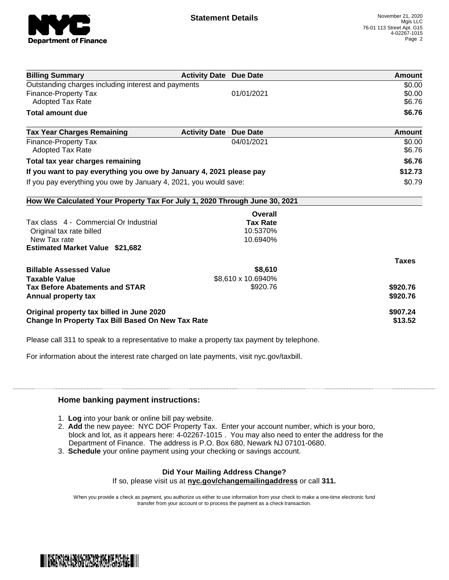

| <b>Billing Summary</b>                                                     | <b>Activity Date Due Date</b>           | Amount       |
|----------------------------------------------------------------------------|-----------------------------------------|--------------|
| Outstanding charges including interest and payments                        |                                         | \$0.00       |
| <b>Finance-Property Tax</b>                                                | 01/01/2021                              | \$0.00       |
| <b>Adopted Tax Rate</b>                                                    |                                         | \$6.76       |
| <b>Total amount due</b>                                                    |                                         | \$6.76       |
| <b>Tax Year Charges Remaining</b>                                          | <b>Activity Date</b><br><b>Due Date</b> | Amount       |
| <b>Finance-Property Tax</b>                                                | 04/01/2021                              | \$0.00       |
| <b>Adopted Tax Rate</b>                                                    |                                         | \$6.76       |
| Total tax year charges remaining                                           |                                         | \$6.76       |
| If you want to pay everything you owe by January 4, 2021 please pay        |                                         | \$12.73      |
| If you pay everything you owe by January 4, 2021, you would save:          |                                         | \$0.79       |
| How We Calculated Your Property Tax For July 1, 2020 Through June 30, 2021 |                                         |              |
|                                                                            | Overall                                 |              |
| Tax class 4 - Commercial Or Industrial                                     | <b>Tax Rate</b>                         |              |
| Original tax rate billed                                                   | 10.5370%                                |              |
| New Tax rate                                                               | 10.6940%                                |              |
| <b>Estimated Market Value \$21,682</b>                                     |                                         |              |
|                                                                            |                                         | <b>Taxes</b> |
| <b>Billable Assessed Value</b>                                             | \$8,610                                 |              |
| <b>Taxable Value</b>                                                       | \$8,610 x 10.6940%                      |              |
| <b>Tax Before Abatements and STAR</b>                                      | \$920.76                                | \$920.76     |
| Annual property tax                                                        |                                         | \$920.76     |
| Original property tax billed in June 2020                                  |                                         | \$907.24     |
| <b>Change In Property Tax Bill Based On New Tax Rate</b>                   |                                         | \$13.52      |

Please call 311 to speak to a representative to make a property tax payment by telephone.

For information about the interest rate charged on late payments, visit nyc.gov/taxbill.

## **Home banking payment instructions:**

- 1. **Log** into your bank or online bill pay website.
- 2. **Add** the new payee: NYC DOF Property Tax. Enter your account number, which is your boro, block and lot, as it appears here: 4-02267-1015 . You may also need to enter the address for the Department of Finance. The address is P.O. Box 680, Newark NJ 07101-0680.
- 3. **Schedule** your online payment using your checking or savings account.

## **Did Your Mailing Address Change?**

If so, please visit us at **nyc.gov/changemailingaddress** or call **311.**

When you provide a check as payment, you authorize us either to use information from your check to make a one-time electronic fund transfer from your account or to process the payment as a check transaction.